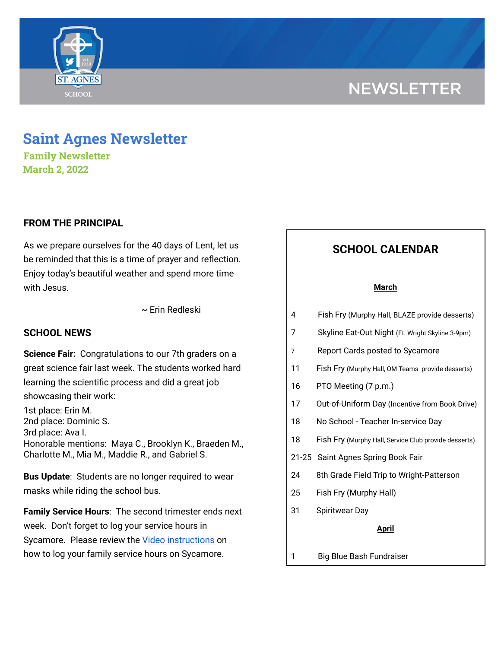# **NEWSLETTER**



**Family Newsletter March 2, 2022**

## **FROM THE PRINCIPAL**

As we prepare ourselves for the 40 days of Lent, let us be reminded that this is a time of prayer and reflection. Enjoy today's beautiful weather and spend more time with Jesus.

~ Erin Redleski

### **SCHOOL NEWS**

**Science Fair:** Congratulations to our 7th graders on a great science fair last week. The students worked hard learning the scientific process and did a great job showcasing their work:

1st place: Erin M. 2nd place: Dominic S. 3rd place: Ava I. Honorable mentions: Maya C., Brooklyn K., Braeden M., Charlotte M., Mia M., Maddie R., and Gabriel S.

**Bus Update**: Students are no longer required to wear masks while riding the school bus.

**Family Service Hours**: The second trimester ends next week. Don't forget to log your service hours in Sycamore. Please review the Video [instructions](https://drive.google.com/file/d/1cmYj9N-NF2btSiiG8QdTD20q2RJRpwk7/view?usp=sharing) on how to log your family service hours on Sycamore.

# **SCHOOL CALENDAR**

#### **March**

- 4 Fish Fry (Murphy Hall, BLAZE provide desserts)
- 7 Skyline Eat-Out Night (Ft. Wright Skyline 3-9pm)
- 7 Report Cards posted to Sycamore
- 11 Fish Fry (Murphy Hall, OM Teams provide desserts)
- 16 PTO Meeting (7 p.m.)
- 17 Out-of-Uniform Day (Incentive from Book Drive)
- 18 No School Teacher In-service Day
- 18 Fish Fry (Murphy Hall, Service Club provide desserts)
- 21-25 Saint Agnes Spring Book Fair
- 24 8th Grade Field Trip to Wright-Patterson
- 25 Fish Fry (Murphy Hall)
- 31 Spiritwear Day

#### **April**

1 Big Blue Bash Fundraiser

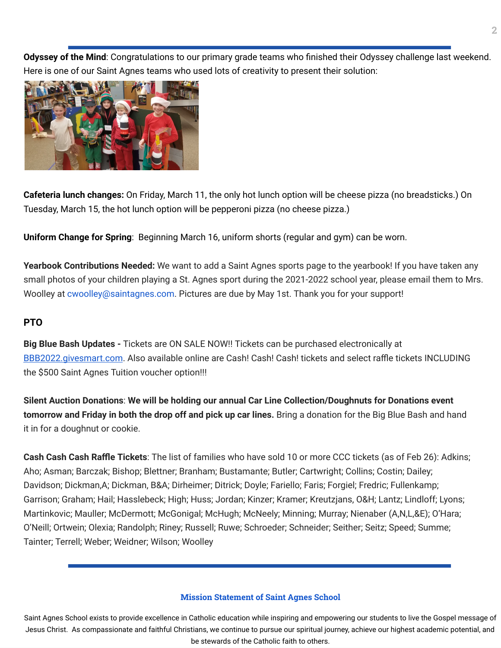**Odyssey of the Mind**: Congratulations to our primary grade teams who finished their Odyssey challenge last weekend. Here is one of our Saint Agnes teams who used lots of creativity to present their solution:



**Cafeteria lunch changes:** On Friday, March 11, the only hot lunch option will be cheese pizza (no breadsticks.) On Tuesday, March 15, the hot lunch option will be pepperoni pizza (no cheese pizza.)

**Uniform Change for Spring**: Beginning March 16, uniform shorts (regular and gym) can be worn.

**Yearbook Contributions Needed:** We want to add a Saint Agnes sports page to the yearbook! If you have taken any small photos of your children playing a St. Agnes sport during the 2021-2022 school year, please email them to Mrs. Woolley at cwoolley@saintagnes.com. Pictures are due by May 1st. Thank you for your support!

# **PTO**

**Big Blue Bash Updates -** Tickets are ON SALE NOW!! Tickets can be purchased electronically at [BBB2022.givesmart.com](http://bbb2022.givesmart.com/). Also available online are Cash! Cash! Cash! tickets and select raffle tickets INCLUDING the \$500 Saint Agnes Tuition voucher option!!!

**Silent Auction Donations**: **We will be holding our annual Car Line Collection/Doughnuts for Donations event tomorrow and Friday in both the drop off and pick up car lines.** Bring a donation for the Big Blue Bash and hand it in for a doughnut or cookie.

**Cash Cash Cash Raffle Tickets**: The list of families who have sold 10 or more CCC tickets (as of Feb 26): Adkins; Aho; Asman; Barczak; Bishop; Blettner; Branham; Bustamante; Butler; Cartwright; Collins; Costin; Dailey; Davidson; Dickman,A; Dickman, B&A; Dirheimer; Ditrick; Doyle; Fariello; Faris; Forgiel; Fredric; Fullenkamp; Garrison; Graham; Hail; Hasslebeck; High; Huss; Jordan; Kinzer; Kramer; Kreutzjans, O&H; Lantz; Lindloff; Lyons; Martinkovic; Mauller; McDermott; McGonigal; McHugh; McNeely; Minning; Murray; Nienaber (A,N,L,&E); O'Hara; O'Neill; Ortwein; Olexia; Randolph; Riney; Russell; Ruwe; Schroeder; Schneider; Seither; Seitz; Speed; Summe; Tainter; Terrell; Weber; Weidner; Wilson; Woolley

## **Mission Statement of Saint Agnes School**

Saint Agnes School exists to provide excellence in Catholic education while inspiring and empowering our students to live the Gospel message of Jesus Christ. As compassionate and faithful Christians, we continue to pursue our spiritual journey, achieve our highest academic potential, and be stewards of the Catholic faith to others.